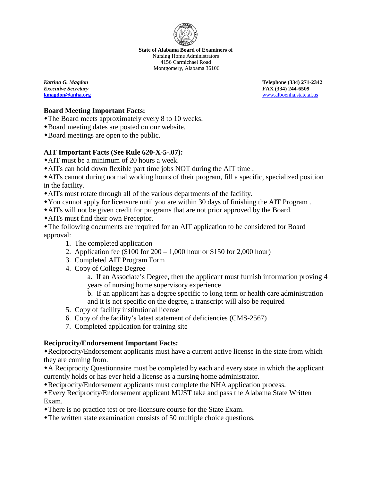

**State of Alabama Board of Examiners of** Nursing Home Administrators 4156 Carmichael Road Montgomery, Alabama 36106

*Katrina G. Magdon* **Telephone (334) 271-2342** *Executive Secretary* **FAX (334) 244-6509 [kmagdon@anha.org](mailto:kmagdon@anha.org)** [www.alboenha.state.al.us](http://www.alboenha.state.al.us/)

#### **Board Meeting Important Facts:**

- The Board meets approximately every 8 to 10 weeks.
- Board meeting dates are posted on our website.
- Board meetings are open to the public.

### **AIT Important Facts (See Rule 620-X-5-.07):**

- AIT must be a minimum of 20 hours a week.
- AITs can hold down flexible part time jobs NOT during the AIT time .

AITs cannot during normal working hours of their program, fill a specific, specialized position in the facility.

- AITs must rotate through all of the various departments of the facility.
- You cannot apply for licensure until you are within 30 days of finishing the AIT Program .
- AITs will not be given credit for programs that are not prior approved by the Board.
- AITs must find their own Preceptor.

The following documents are required for an AIT application to be considered for Board approval:

- 1. The completed application
- 2. Application fee (\$100 for 200 1,000 hour or \$150 for 2,000 hour)
- 3. Completed AIT Program Form
- 4. Copy of College Degree

a. If an Associate's Degree, then the applicant must furnish information proving 4 years of nursing home supervisory experience

b. If an applicant has a degree specific to long term or health care administration and it is not specific on the degree, a transcript will also be required

- 5. Copy of facility institutional license
- 6. Copy of the facility's latest statement of deficiencies (CMS-2567)
- 7. Completed application for training site

## **Reciprocity/Endorsement Important Facts:**

Reciprocity/Endorsement applicants must have a current active license in the state from which they are coming from.

A Reciprocity Questionnaire must be completed by each and every state in which the applicant currently holds or has ever held a license as a nursing home administrator.

Reciprocity/Endorsement applicants must complete the NHA application process.

Every Reciprocity/Endorsement applicant MUST take and pass the Alabama State Written Exam.

- There is no practice test or pre-licensure course for the State Exam.
- The written state examination consists of 50 multiple choice questions.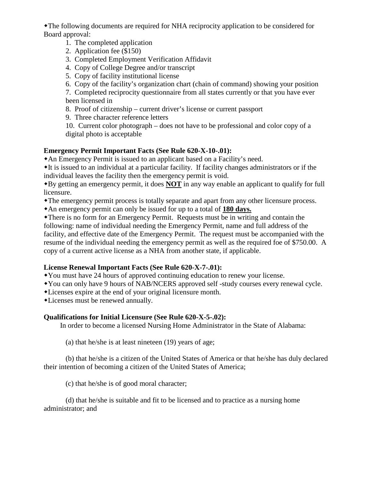The following documents are required for NHA reciprocity application to be considered for Board approval:

- 1. The completed application
- 2. Application fee (\$150)
- 3. Completed Employment Verification Affidavit
- 4. Copy of College Degree and/or transcript
- 5. Copy of facility institutional license
- 6. Copy of the facility's organization chart (chain of command) showing your position

7. Completed reciprocity questionnaire from all states currently or that you have ever been licensed in

8. Proof of citizenship – current driver's license or current passport

9. Three character reference letters

10. Current color photograph – does not have to be professional and color copy of a digital photo is acceptable

# **Emergency Permit Important Facts (See Rule 620-X-10-.01):**

An Emergency Permit is issued to an applicant based on a Facility's need.

It is issued to an individual at a particular facility. If facility changes administrators or if the individual leaves the facility then the emergency permit is void.

By getting an emergency permit, it does **NOT** in any way enable an applicant to qualify for full licensure.

The emergency permit process is totally separate and apart from any other licensure process.

An emergency permit can only be issued for up to a total of **180 days.**

There is no form for an Emergency Permit. Requests must be in writing and contain the following: name of individual needing the Emergency Permit, name and full address of the facility, and effective date of the Emergency Permit. The request must be accompanied with the resume of the individual needing the emergency permit as well as the required foe of \$750.00. A copy of a current active license as a NHA from another state, if applicable.

## **License Renewal Important Facts (See Rule 620-X-7-.01):**

You must have 24 hours of approved continuing education to renew your license.

You can only have 9 hours of NAB/NCERS approved self -study courses every renewal cycle.

Licenses expire at the end of your original licensure month.

Licenses must be renewed annually.

## **Qualifications for Initial Licensure (See Rule 620-X-5-.02):**

In order to become a licensed Nursing Home Administrator in the State of Alabama:

(a) that he/she is at least nineteen (19) years of age;

(b) that he/she is a citizen of the United States of America or that he/she has duly declared their intention of becoming a citizen of the United States of America;

(c) that he/she is of good moral character;

(d) that he/she is suitable and fit to be licensed and to practice as a nursing home administrator; and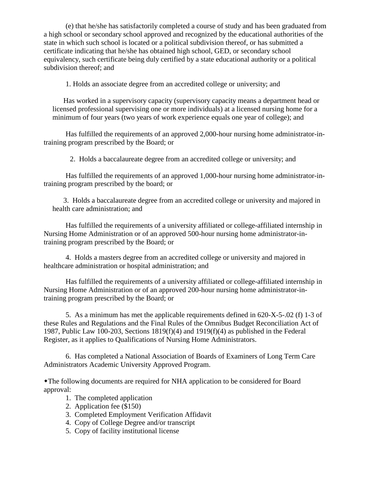(e) that he/she has satisfactorily completed a course of study and has been graduated from a high school or secondary school approved and recognized by the educational authorities of the state in which such school is located or a political subdivision thereof, or has submitted a certificate indicating that he/she has obtained high school, GED, or secondary school equivalency, such certificate being duly certified by a state educational authority or a political subdivision thereof; and

1. Holds an associate degree from an accredited college or university; and

Has worked in a supervisory capacity (supervisory capacity means a department head or licensed professional supervising one or more individuals) at a licensed nursing home for a minimum of four years (two years of work experience equals one year of college); and

Has fulfilled the requirements of an approved 2,000-hour nursing home administrator-intraining program prescribed by the Board; or

2. Holds a baccalaureate degree from an accredited college or university; and

Has fulfilled the requirements of an approved 1,000-hour nursing home administrator-intraining program prescribed by the board; or

3. Holds a baccalaureate degree from an accredited college or university and majored in health care administration; and

Has fulfilled the requirements of a university affiliated or college-affiliated internship in Nursing Home Administration or of an approved 500-hour nursing home administrator-intraining program prescribed by the Board; or

4. Holds a masters degree from an accredited college or university and majored in healthcare administration or hospital administration; and

Has fulfilled the requirements of a university affiliated or college-affiliated internship in Nursing Home Administration or of an approved 200-hour nursing home administrator-intraining program prescribed by the Board; or

5. As a minimum has met the applicable requirements defined in 620-X-5-.02 (f) 1-3 of these Rules and Regulations and the Final Rules of the Omnibus Budget Reconciliation Act of 1987, Public Law 100-203, Sections 1819(f)(4) and 1919(f)(4) as published in the Federal Register, as it applies to Qualifications of Nursing Home Administrators.

6. Has completed a National Association of Boards of Examiners of Long Term Care Administrators Academic University Approved Program.

The following documents are required for NHA application to be considered for Board approval:

- 1. The completed application
- 2. Application fee (\$150)
- 3. Completed Employment Verification Affidavit
- 4. Copy of College Degree and/or transcript
- 5. Copy of facility institutional license